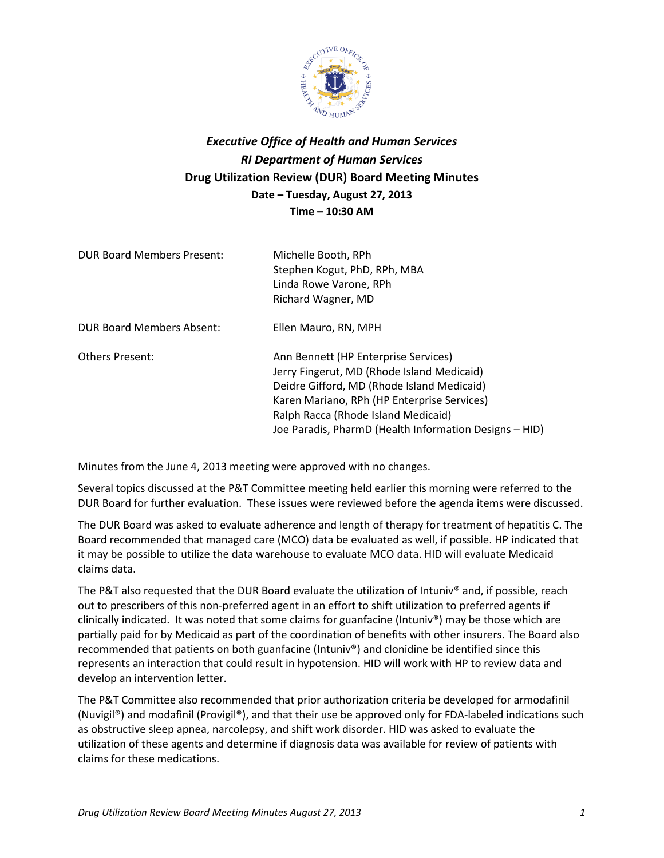

## *Executive Office of Health and Human Services RI Department of Human Services* **Drug Utilization Review (DUR) Board Meeting Minutes Date – Tuesday, August 27, 2013 Time – 10:30 AM**

| <b>DUR Board Members Present:</b> | Michelle Booth, RPh<br>Stephen Kogut, PhD, RPh, MBA<br>Linda Rowe Varone, RPh<br>Richard Wagner, MD                                                                                                                                                                              |
|-----------------------------------|----------------------------------------------------------------------------------------------------------------------------------------------------------------------------------------------------------------------------------------------------------------------------------|
| <b>DUR Board Members Absent:</b>  | Ellen Mauro, RN, MPH                                                                                                                                                                                                                                                             |
| <b>Others Present:</b>            | Ann Bennett (HP Enterprise Services)<br>Jerry Fingerut, MD (Rhode Island Medicaid)<br>Deidre Gifford, MD (Rhode Island Medicaid)<br>Karen Mariano, RPh (HP Enterprise Services)<br>Ralph Racca (Rhode Island Medicaid)<br>Joe Paradis, PharmD (Health Information Designs - HID) |

Minutes from the June 4, 2013 meeting were approved with no changes.

Several topics discussed at the P&T Committee meeting held earlier this morning were referred to the DUR Board for further evaluation. These issues were reviewed before the agenda items were discussed.

The DUR Board was asked to evaluate adherence and length of therapy for treatment of hepatitis C. The Board recommended that managed care (MCO) data be evaluated as well, if possible. HP indicated that it may be possible to utilize the data warehouse to evaluate MCO data. HID will evaluate Medicaid claims data.

The P&T also requested that the DUR Board evaluate the utilization of Intuniv® and, if possible, reach out to prescribers of this non-preferred agent in an effort to shift utilization to preferred agents if clinically indicated. It was noted that some claims for guanfacine (Intuniv®) may be those which are partially paid for by Medicaid as part of the coordination of benefits with other insurers. The Board also recommended that patients on both guanfacine (Intuniv®) and clonidine be identified since this represents an interaction that could result in hypotension. HID will work with HP to review data and develop an intervention letter.

The P&T Committee also recommended that prior authorization criteria be developed for armodafinil (Nuvigil®) and modafinil (Provigil®), and that their use be approved only for FDA-labeled indications such as obstructive sleep apnea, narcolepsy, and shift work disorder. HID was asked to evaluate the utilization of these agents and determine if diagnosis data was available for review of patients with claims for these medications.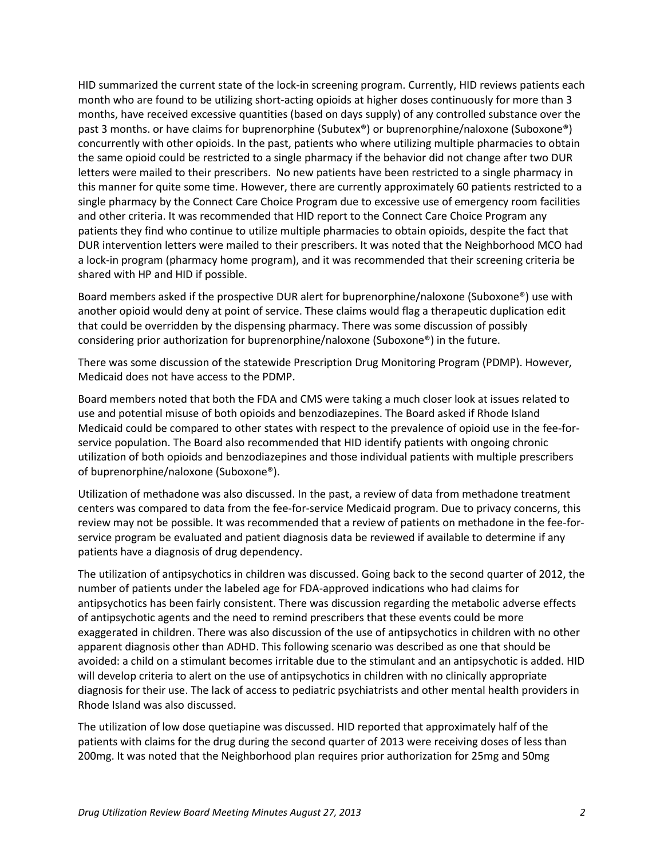HID summarized the current state of the lock-in screening program. Currently, HID reviews patients each month who are found to be utilizing short-acting opioids at higher doses continuously for more than 3 months, have received excessive quantities (based on days supply) of any controlled substance over the past 3 months. or have claims for buprenorphine (Subutex®) or buprenorphine/naloxone (Suboxone®) concurrently with other opioids. In the past, patients who where utilizing multiple pharmacies to obtain the same opioid could be restricted to a single pharmacy if the behavior did not change after two DUR letters were mailed to their prescribers. No new patients have been restricted to a single pharmacy in this manner for quite some time. However, there are currently approximately 60 patients restricted to a single pharmacy by the Connect Care Choice Program due to excessive use of emergency room facilities and other criteria. It was recommended that HID report to the Connect Care Choice Program any patients they find who continue to utilize multiple pharmacies to obtain opioids, despite the fact that DUR intervention letters were mailed to their prescribers. It was noted that the Neighborhood MCO had a lock-in program (pharmacy home program), and it was recommended that their screening criteria be shared with HP and HID if possible.

Board members asked if the prospective DUR alert for buprenorphine/naloxone (Suboxone®) use with another opioid would deny at point of service. These claims would flag a therapeutic duplication edit that could be overridden by the dispensing pharmacy. There was some discussion of possibly considering prior authorization for buprenorphine/naloxone (Suboxone®) in the future.

There was some discussion of the statewide Prescription Drug Monitoring Program (PDMP). However, Medicaid does not have access to the PDMP.

Board members noted that both the FDA and CMS were taking a much closer look at issues related to use and potential misuse of both opioids and benzodiazepines. The Board asked if Rhode Island Medicaid could be compared to other states with respect to the prevalence of opioid use in the fee-forservice population. The Board also recommended that HID identify patients with ongoing chronic utilization of both opioids and benzodiazepines and those individual patients with multiple prescribers of buprenorphine/naloxone (Suboxone®).

Utilization of methadone was also discussed. In the past, a review of data from methadone treatment centers was compared to data from the fee-for-service Medicaid program. Due to privacy concerns, this review may not be possible. It was recommended that a review of patients on methadone in the fee-forservice program be evaluated and patient diagnosis data be reviewed if available to determine if any patients have a diagnosis of drug dependency.

The utilization of antipsychotics in children was discussed. Going back to the second quarter of 2012, the number of patients under the labeled age for FDA-approved indications who had claims for antipsychotics has been fairly consistent. There was discussion regarding the metabolic adverse effects of antipsychotic agents and the need to remind prescribers that these events could be more exaggerated in children. There was also discussion of the use of antipsychotics in children with no other apparent diagnosis other than ADHD. This following scenario was described as one that should be avoided: a child on a stimulant becomes irritable due to the stimulant and an antipsychotic is added. HID will develop criteria to alert on the use of antipsychotics in children with no clinically appropriate diagnosis for their use. The lack of access to pediatric psychiatrists and other mental health providers in Rhode Island was also discussed.

The utilization of low dose quetiapine was discussed. HID reported that approximately half of the patients with claims for the drug during the second quarter of 2013 were receiving doses of less than 200mg. It was noted that the Neighborhood plan requires prior authorization for 25mg and 50mg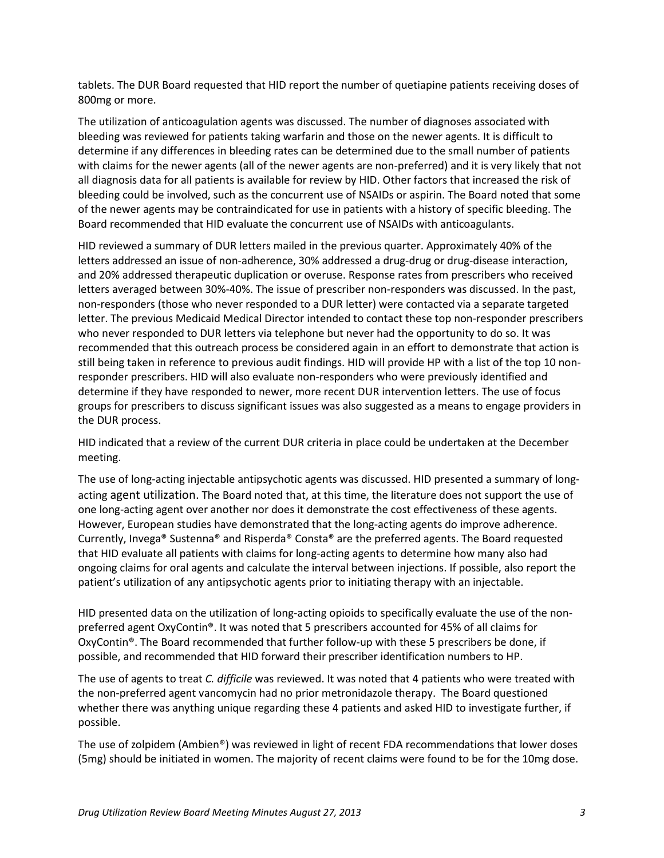tablets. The DUR Board requested that HID report the number of quetiapine patients receiving doses of 800mg or more.

The utilization of anticoagulation agents was discussed. The number of diagnoses associated with bleeding was reviewed for patients taking warfarin and those on the newer agents. It is difficult to determine if any differences in bleeding rates can be determined due to the small number of patients with claims for the newer agents (all of the newer agents are non-preferred) and it is very likely that not all diagnosis data for all patients is available for review by HID. Other factors that increased the risk of bleeding could be involved, such as the concurrent use of NSAIDs or aspirin. The Board noted that some of the newer agents may be contraindicated for use in patients with a history of specific bleeding. The Board recommended that HID evaluate the concurrent use of NSAIDs with anticoagulants.

HID reviewed a summary of DUR letters mailed in the previous quarter. Approximately 40% of the letters addressed an issue of non-adherence, 30% addressed a drug-drug or drug-disease interaction, and 20% addressed therapeutic duplication or overuse. Response rates from prescribers who received letters averaged between 30%-40%. The issue of prescriber non-responders was discussed. In the past, non-responders (those who never responded to a DUR letter) were contacted via a separate targeted letter. The previous Medicaid Medical Director intended to contact these top non-responder prescribers who never responded to DUR letters via telephone but never had the opportunity to do so. It was recommended that this outreach process be considered again in an effort to demonstrate that action is still being taken in reference to previous audit findings. HID will provide HP with a list of the top 10 nonresponder prescribers. HID will also evaluate non-responders who were previously identified and determine if they have responded to newer, more recent DUR intervention letters. The use of focus groups for prescribers to discuss significant issues was also suggested as a means to engage providers in the DUR process.

HID indicated that a review of the current DUR criteria in place could be undertaken at the December meeting.

The use of long-acting injectable antipsychotic agents was discussed. HID presented a summary of longacting agent utilization. The Board noted that, at this time, the literature does not support the use of one long-acting agent over another nor does it demonstrate the cost effectiveness of these agents. However, European studies have demonstrated that the long-acting agents do improve adherence. Currently, Invega® Sustenna® and Risperda® Consta® are the preferred agents. The Board requested that HID evaluate all patients with claims for long-acting agents to determine how many also had ongoing claims for oral agents and calculate the interval between injections. If possible, also report the patient's utilization of any antipsychotic agents prior to initiating therapy with an injectable.

HID presented data on the utilization of long-acting opioids to specifically evaluate the use of the nonpreferred agent OxyContin®. It was noted that 5 prescribers accounted for 45% of all claims for OxyContin®. The Board recommended that further follow-up with these 5 prescribers be done, if possible, and recommended that HID forward their prescriber identification numbers to HP.

The use of agents to treat *C. difficile* was reviewed. It was noted that 4 patients who were treated with the non-preferred agent vancomycin had no prior metronidazole therapy. The Board questioned whether there was anything unique regarding these 4 patients and asked HID to investigate further, if possible.

The use of zolpidem (Ambien®) was reviewed in light of recent FDA recommendations that lower doses (5mg) should be initiated in women. The majority of recent claims were found to be for the 10mg dose.